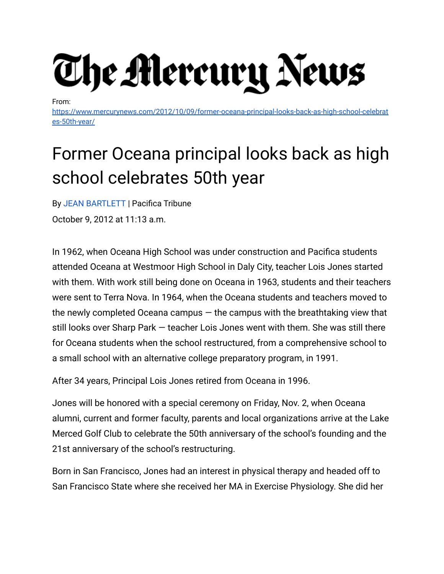

From:

[https://www.mercurynews.com/2012/10/09/former-oceana-principal-looks-back-as-high-school-celebrat](https://www.mercurynews.com/2012/10/09/former-oceana-principal-looks-back-as-high-school-celebrates-50th-year/) [es-50th-year/](https://www.mercurynews.com/2012/10/09/former-oceana-principal-looks-back-as-high-school-celebrates-50th-year/)

## Former Oceana principal looks back as high school celebrates 50th year

By JEAN [BARTLETT](https://www.mercurynews.com/author/jean-bartlett/) | Pacifica Tribune October 9, 2012 at 11:13 a.m.

In 1962, when Oceana High School was under construction and Pacifica students attended Oceana at Westmoor High School in Daly City, teacher Lois Jones started with them. With work still being done on Oceana in 1963, students and their teachers were sent to Terra Nova. In 1964, when the Oceana students and teachers moved to the newly completed Oceana campus  $-$  the campus with the breathtaking view that still looks over Sharp Park — teacher Lois Jones went with them. She was still there for Oceana students when the school restructured, from a comprehensive school to a small school with an alternative college preparatory program, in 1991.

After 34 years, Principal Lois Jones retired from Oceana in 1996.

Jones will be honored with a special ceremony on Friday, Nov. 2, when Oceana alumni, current and former faculty, parents and local organizations arrive at the Lake Merced Golf Club to celebrate the 50th anniversary of the school's founding and the 21st anniversary of the school's restructuring.

Born in San Francisco, Jones had an interest in physical therapy and headed off to San Francisco State where she received her MA in Exercise Physiology. She did her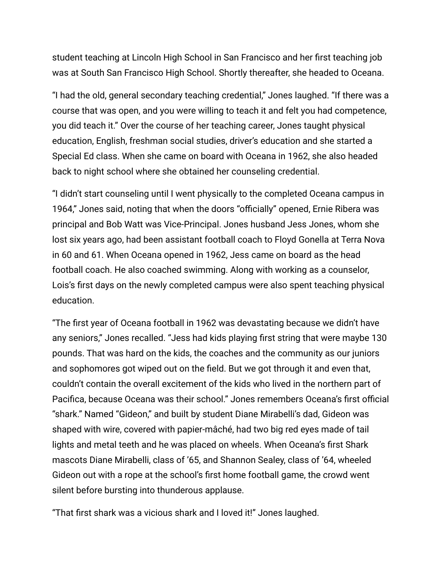student teaching at Lincoln High School in San Francisco and her first teaching job was at South San Francisco High School. Shortly thereafter, she headed to Oceana.

"I had the old, general secondary teaching credential," Jones laughed. "If there was a course that was open, and you were willing to teach it and felt you had competence, you did teach it." Over the course of her teaching career, Jones taught physical education, English, freshman social studies, driver's education and she started a Special Ed class. When she came on board with Oceana in 1962, she also headed back to night school where she obtained her counseling credential.

"I didn't start counseling until I went physically to the completed Oceana campus in 1964," Jones said, noting that when the doors "officially" opened, Ernie Ribera was principal and Bob Watt was Vice-Principal. Jones husband Jess Jones, whom she lost six years ago, had been assistant football coach to Floyd Gonella at Terra Nova in 60 and 61. When Oceana opened in 1962, Jess came on board as the head football coach. He also coached swimming. Along with working as a counselor, Lois's first days on the newly completed campus were also spent teaching physical education.

"The first year of Oceana football in 1962 was devastating because we didn't have any seniors," Jones recalled. "Jess had kids playing first string that were maybe 130 pounds. That was hard on the kids, the coaches and the community as our juniors and sophomores got wiped out on the field. But we got through it and even that, couldn't contain the overall excitement of the kids who lived in the northern part of Pacifica, because Oceana was their school." Jones remembers Oceana's first official "shark." Named "Gideon," and built by student Diane Mirabelli's dad, Gideon was shaped with wire, covered with papier-mâché, had two big red eyes made of tail lights and metal teeth and he was placed on wheels. When Oceana's first Shark mascots Diane Mirabelli, class of '65, and Shannon Sealey, class of '64, wheeled Gideon out with a rope at the school's first home football game, the crowd went silent before bursting into thunderous applause.

"That first shark was a vicious shark and I loved it!" Jones laughed.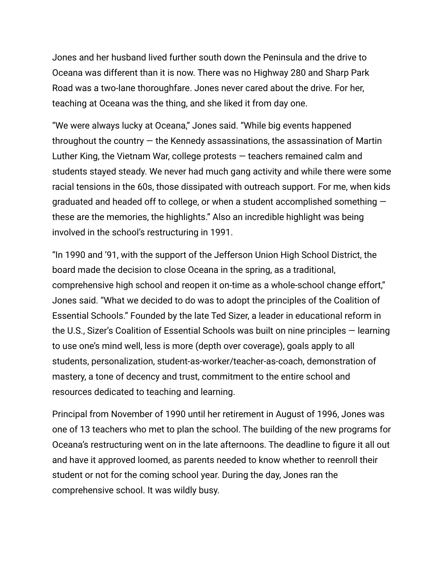Jones and her husband lived further south down the Peninsula and the drive to Oceana was different than it is now. There was no Highway 280 and Sharp Park Road was a two-lane thoroughfare. Jones never cared about the drive. For her, teaching at Oceana was the thing, and she liked it from day one.

"We were always lucky at Oceana," Jones said. "While big events happened throughout the country  $-$  the Kennedy assassinations, the assassination of Martin Luther King, the Vietnam War, college protests — teachers remained calm and students stayed steady. We never had much gang activity and while there were some racial tensions in the 60s, those dissipated with outreach support. For me, when kids graduated and headed off to college, or when a student accomplished something these are the memories, the highlights." Also an incredible highlight was being involved in the school's restructuring in 1991.

"In 1990 and '91, with the support of the Jefferson Union High School District, the board made the decision to close Oceana in the spring, as a traditional, comprehensive high school and reopen it on-time as a whole-school change effort," Jones said. "What we decided to do was to adopt the principles of the Coalition of Essential Schools." Founded by the late Ted Sizer, a leader in educational reform in the U.S., Sizer's Coalition of Essential Schools was built on nine principles — learning to use one's mind well, less is more (depth over coverage), goals apply to all students, personalization, student-as-worker/teacher-as-coach, demonstration of mastery, a tone of decency and trust, commitment to the entire school and resources dedicated to teaching and learning.

Principal from November of 1990 until her retirement in August of 1996, Jones was one of 13 teachers who met to plan the school. The building of the new programs for Oceana's restructuring went on in the late afternoons. The deadline to figure it all out and have it approved loomed, as parents needed to know whether to reenroll their student or not for the coming school year. During the day, Jones ran the comprehensive school. It was wildly busy.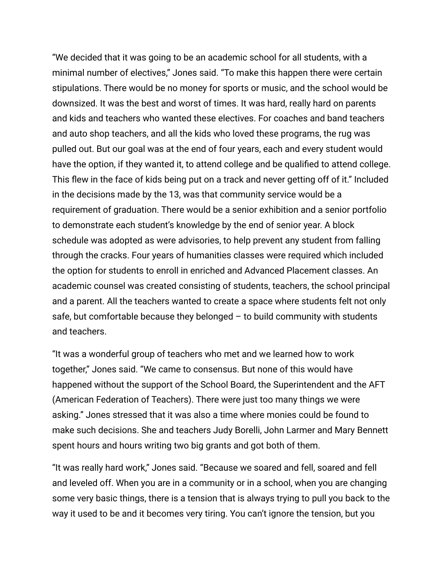"We decided that it was going to be an academic school for all students, with a minimal number of electives," Jones said. "To make this happen there were certain stipulations. There would be no money for sports or music, and the school would be downsized. It was the best and worst of times. It was hard, really hard on parents and kids and teachers who wanted these electives. For coaches and band teachers and auto shop teachers, and all the kids who loved these programs, the rug was pulled out. But our goal was at the end of four years, each and every student would have the option, if they wanted it, to attend college and be qualified to attend college. This flew in the face of kids being put on a track and never getting off of it." Included in the decisions made by the 13, was that community service would be a requirement of graduation. There would be a senior exhibition and a senior portfolio to demonstrate each student's knowledge by the end of senior year. A block schedule was adopted as were advisories, to help prevent any student from falling through the cracks. Four years of humanities classes were required which included the option for students to enroll in enriched and Advanced Placement classes. An academic counsel was created consisting of students, teachers, the school principal and a parent. All the teachers wanted to create a space where students felt not only safe, but comfortable because they belonged  $-$  to build community with students and teachers.

"It was a wonderful group of teachers who met and we learned how to work together," Jones said. "We came to consensus. But none of this would have happened without the support of the School Board, the Superintendent and the AFT (American Federation of Teachers). There were just too many things we were asking." Jones stressed that it was also a time where monies could be found to make such decisions. She and teachers Judy Borelli, John Larmer and Mary Bennett spent hours and hours writing two big grants and got both of them.

"It was really hard work," Jones said. "Because we soared and fell, soared and fell and leveled off. When you are in a community or in a school, when you are changing some very basic things, there is a tension that is always trying to pull you back to the way it used to be and it becomes very tiring. You can't ignore the tension, but you